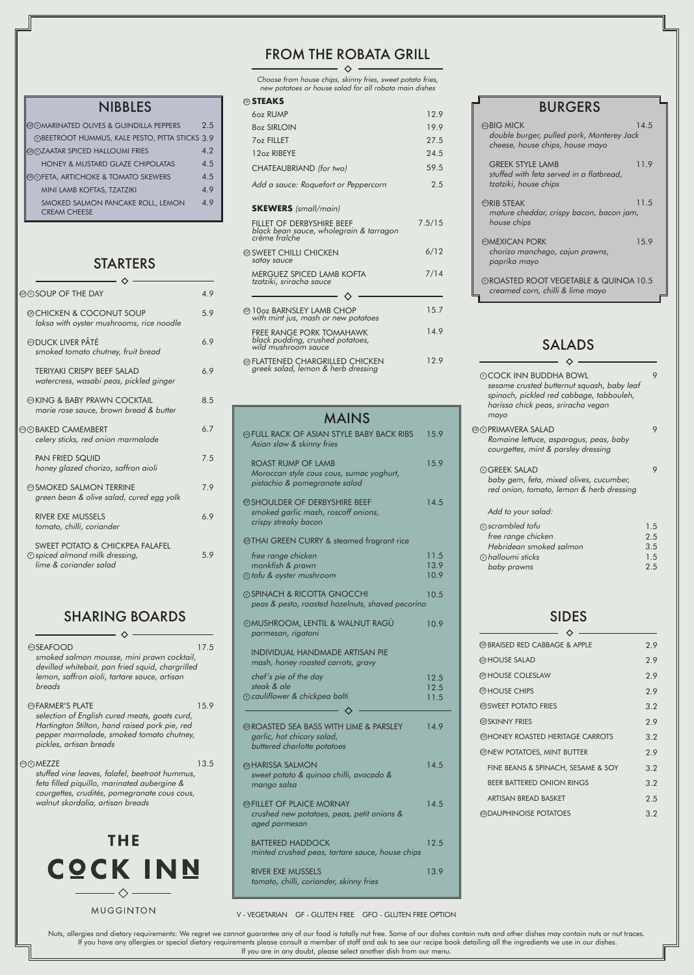## NIBBLES

### SIDES  $\lambda$

 $\sim$   $\diamond$   $\sim$ Choose from house chips, skinny fries, sweet potato fries,

|                                                                                                                                                                             |      | parmesan,                                                                                |
|-----------------------------------------------------------------------------------------------------------------------------------------------------------------------------|------|------------------------------------------------------------------------------------------|
| <b>@SEAFOOD</b><br>smoked salmon mousse, mini prawn cocktail,<br>devilled whitebait, pan fried squid, chargrilled<br>lemon, saffron aioli, tartare sauce, artisan<br>breads | 17.5 | <b>INDIVIDUA</b><br>mash, hone<br>chef's pie o<br>steak & ale<br>$\circledR$ cauliflower |
| <b>@FARMER'S PLATE</b>                                                                                                                                                      | 15.9 |                                                                                          |
| selection of English cured meats, goats curd,                                                                                                                               |      |                                                                                          |

Nuts, allergies and dietary requirements: We regret we cannot guarantee any of our food is totally nut free. Some of our dishes contain nuts and other dishes may contain nuts or nut traces. If you have any allergies or special dietary requirements please consult a member of staff and ask to see our recipe book detailing all the ingredients we use in our dishes. If you are in any doubt, please select another dish from our menu.

## SALADS  $\diamond$  -

| <b>@ MARINATED OLIVES &amp; GUINDILLA PEPPERS</b>        | 2.5 |
|----------------------------------------------------------|-----|
| <b>ØBEETROOT HUMMUS, KALE PESTO, PITTA STICKS 3.9</b>    |     |
| <b>@@ZAATAR SPICED HALLOUMI FRIES</b>                    | 4.2 |
| <b>HONEY &amp; MUSTARD GLAZE CHIPOLATAS</b>              | 4.5 |
| ©©FETA, ARTICHOKE & TOMATO SKEWERS                       | 4.5 |
| MINI LAMB KOFTAS, TZATZIKI                               | 4.9 |
| SMOKED SALMON PANCAKE ROLL, LEMON<br><b>CREAM CHEESE</b> | 4.9 |

## **STARTERS**

Hartington Stilton, hand raised pork pie, red pepper marmalade, smoked tomato chutney, <sup>p</sup>ickles, artisan breads

#### ම⊙MEZZE

stuffed vine leaves, falafel, beetroot hummus, feta filled piquillo, marinated aubergine & courgettes, crudités, pomegranate cous cous, walnut skordalia, artisan breads

**THE COCK INN**  $\Diamond$ 

MUGGINTON

| $\oslash$ COCK INN BUDDHA BOWL<br>sesame crusted butternut squash, baby leaf<br>spinach, pickled red cabbage, tabbouleh,<br>harissa chick peas, sriracha vegan<br>mayo |                                 |
|------------------------------------------------------------------------------------------------------------------------------------------------------------------------|---------------------------------|
| ெ)PRIMAVERA SALAD<br>Romaine lettuce, asparagus, peas, baby<br>courgettes, mint & parsley dressing                                                                     |                                 |
| $\circledcirc$ GRFFK SALAD<br>baby gem, feta, mixed olives, cucumber,<br>red onion, tomato, lemon & herb dressing<br>Add to your salad:                                |                                 |
| $\circledcirc$ scrambled tofu<br>free range chicken<br>Hebridean smoked salmon<br>$\circledcirc$ halloumi sticks<br>baby prawns                                        | 1.5<br>2.5<br>3.5<br>1.5<br>2.5 |

13.5

| ☞FULL RACK OF ASIAN STYLE BABY BACK RIBS<br>Asian slaw & skinny fries                                         | 15.9                 |
|---------------------------------------------------------------------------------------------------------------|----------------------|
| ROAST RUMP OF LAMB<br>Moroccan style cous cous, sumac yoghurt,<br>pistachio & pomegranate salad               | 15.9                 |
| <b>@SHOULDER OF DERBYSHIRE BEEF</b><br>smoked garlic mash, roscoff onions,<br>crispy streaky bacon            | 14.5                 |
| <b>@THAI GREEN CURRY &amp; steamed fragrant rice</b>                                                          |                      |
| free range chicken<br>monkfish & prawn<br>$\circledR$ tofu & oyster mushroom                                  | 11.5<br>13.9<br>10.9 |
| <b>ØSPINACH &amp; RICOTTA GNOCCHI</b><br>peas & pesto, roasted hazelnuts, shaved pecorino                     | 10.5                 |
| $\oslash$ MUSHROOM, LENTIL & WALNUT RAGÙ<br>parmesan, rigatoni                                                | 10.9                 |
| <b>INDIVIDUAL HANDMADE ARTISAN PIE</b>                                                                        |                      |
| mash, honey roasted carrots, gravy                                                                            |                      |
| chef's pie of the day<br>steak & ale<br>$\circledcirc$ cauliflower & chickpea balti                           | 12.5<br>12.5<br>11.5 |
| <b>@ROASTED SEA BASS WITH LIME &amp; PARSLEY</b><br>garlic, hot chicory salad,<br>buttered charlotte potatoes | 14.9                 |
| <b>@HARISSA SALMON</b><br>sweet potato & quinoa chilli, avocado &<br>mango salsa                              | 14.5                 |
| <b>@FILLET OF PLAICE MORNAY</b><br>crushed new potatoes, peas, petit onions &<br>aged parmesan                | 14.5                 |
| <b>BATTERED HADDOCK</b><br>minted crushed peas, tartare sauce, house chips                                    | 12.5                 |

3.2 2.9 3.2 3.2 2.5 3.2

| new potatoes or house salad for all robata main dishes                                     |        |
|--------------------------------------------------------------------------------------------|--------|
| ☞ STEAKS                                                                                   |        |
| 607 RUMP                                                                                   | 12.9   |
| 807 SIRLOIN                                                                                | 19.9   |
| <b>7oz FILLET</b>                                                                          | 27.5   |
| 12oz RIBEYE                                                                                | 24.5   |
| CHATEAUBRIAND (for two)                                                                    | 59.5   |
| Add a sauce: Roquefort or Peppercorn                                                       | 2.5    |
| <b>SKEWERS</b> (small/main)                                                                |        |
| FILLET OF DERBYSHIRE BEEF<br>black bean sauce, wholegrain & tarragon<br>crème fraîche      | 7.5/15 |
| @ SWEET CHILLI CHICKEN<br>satay sauce                                                      | 6/12   |
| MERGUEZ SPICED LAMB KOFTA<br>tzatziki, sriracha sauce                                      | 7/14   |
|                                                                                            |        |
| @10oz BARNSLEY LAMB CHOP<br>with mint jus, mash or new potatoes                            | 15.7   |
| <b>FREE RANGE PORK TOMAHAWK</b><br>black pudding, crushed potatoes,<br>wild mushroom sauce | 14.9   |
| @FLATTENED CHARGRILLED CHICKEN<br>greek salad, lemon & herb dressing                       | 12.9   |
|                                                                                            |        |

| the Day of the Day                                                                                               | 4.9 |
|------------------------------------------------------------------------------------------------------------------|-----|
| @CHICKEN & COCONUT SOUP<br>laksa with oyster mushrooms, rice noodle                                              | 5.9 |
| <b><i><b>@DUCK LIVER PÂTÉ</b></i></b><br>smoked tomato chutney, fruit bread                                      | 6.9 |
| TERIYAKI CRISPY BEEF SALAD<br>watercress, wasabi peas, pickled ginger                                            | 6.9 |
| �� KING & BABY PRAWN COCKTAIL<br>marie rose sauce, brown bread & butter                                          | 8.5 |
| <b>© BAKED CAMEMBERT</b><br>celery sticks, red onion marmalade                                                   | 6.7 |
| <b>PAN FRIED SQUID</b><br>honey glazed chorizo, saffron aioli                                                    | 7.5 |
| <b>ে SMOKED SALMON TERRINE</b><br>green bean & olive salad, cured egg yolk                                       | 7.9 |
| <b>RIVER EXE MUSSELS</b><br>tomato, chilli, coriander                                                            | 6.9 |
| <b>SWEET POTATO &amp; CHICKPEA FALAFEL</b><br>$\circledR$ spiced almond milk dressing,<br>lime & coriander salad | 5.9 |
|                                                                                                                  |     |

FINE BEANS & SPINACH, SESAME & SOY

GNEW POTATOES, MINT BUTTER

BEER BATTERED ONION RINGS

ARTISAN BREAD BASKET

**@DAUPHINOISE POTATOES** 

## SHARING BOARDS

## FROM THE ROBATA GRILL

#### V - VEGETARIAN GF - GLUTEN FREE GFO - GLUTEN FREE OPTION

| <b>@BRAISED RED CABBAGE &amp; APPLE</b> | 2.9 |
|-----------------------------------------|-----|
| <b>@HOUSE SALAD</b>                     | 2.9 |
| <b>@HOUSE COLESLAW</b>                  | 2.9 |
| <b>@HOUSE CHIPS</b>                     | 29  |
| <b>@SWEET POTATO FRIES</b>              | 3.2 |
| <b>@SKINNY FRIES</b>                    | 29  |

**@HONEY ROASTED HERITAGE CARROTS** 

| <b>BURGERS</b>                                                                                                      |  |
|---------------------------------------------------------------------------------------------------------------------|--|
| <b><sup>®BIG</sup></b> MICK<br>14.5<br>double burger, pulled pork, Monterey Jack<br>cheese, house chips, house mayo |  |
| <b>GREEK STYLE LAMB</b><br>11.9<br>stuffed with feta served in a flatbread,<br>tzatziki, house chips                |  |
| <b><i>GRIB STEAK</i></b><br>11.5<br>mature cheddar, crispy bacon, bacon jam,<br>house chips                         |  |
| <b>GROMEXICAN PORK</b><br>15.9<br>chorizo manchego, cajun prawns,<br>paprika mayo                                   |  |
| $\oslash$ ROASTED ROOT VEGETABLE & QUINOA 10.5<br>creamed corn, chilli & lime mayo                                  |  |

# MAINS